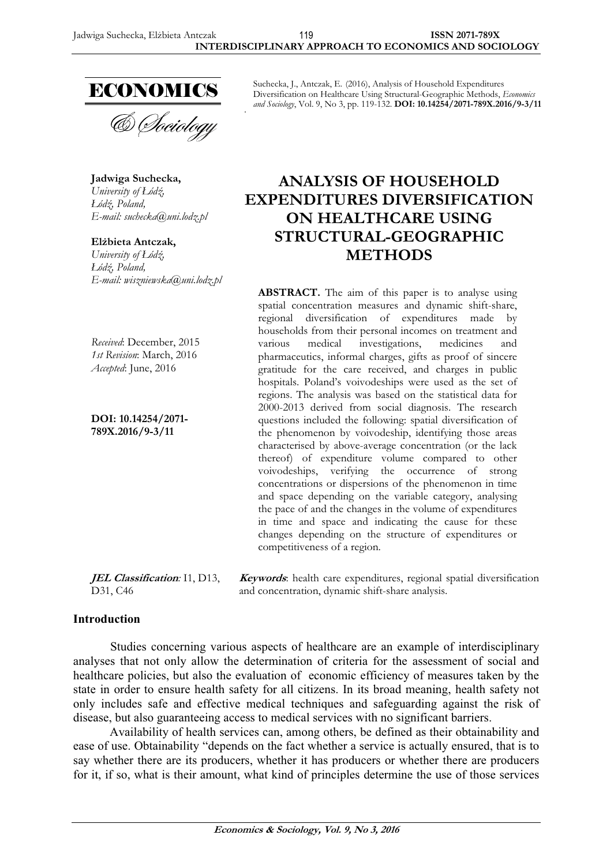

& *Dociology* 

**Jadwiga Suchecka,**  *University of Łódź*, *áódŭ, Poland, E-mail: suchecka@uni.lodz.pl* 

**Elůbieta Antczak,**  *University of áódŭ, áódŭ, Poland, E-mail: wiszniewska@uni.lodz.pl* 

*Received*: December, 2015 *1st Revision*: March, 2016 *Accepted*: June, 2016

**DOI: 10.14254/2071- 789X.2016/9-3/11**

Suchecka, J., Antczak, E. (2016), Analysis of Household Expenditures Diversification on Healthcare Using Structural-Geographic Methods, *Economics and Sociology*, Vol. 9, No 3, pp. 119-132. **DOI: 10.14254/2071-789X.2016/9-3/11**

# **ANALYSIS OF HOUSEHOLD EXPENDITURES DIVERSIFICATION ON HEALTHCARE USING STRUCTURAL-GEOGRAPHIC METHODS**

**ABSTRACT.** The aim of this paper is to analyse using spatial concentration measures and dynamic shift-share, regional diversification of expenditures made by households from their personal incomes on treatment and<br>various medical investigations, medicines and investigations, pharmaceutics, informal charges, gifts as proof of sincere gratitude for the care received, and charges in public hospitals. Poland's voivodeships were used as the set of regions. The analysis was based on the statistical data for 2000-2013 derived from social diagnosis. The research questions included the following: spatial diversification of the phenomenon by voivodeship, identifying those areas characterised by above-average concentration (or the lack thereof) of expenditure volume compared to other voivodeships, verifying the occurrence of strong concentrations or dispersions of the phenomenon in time and space depending on the variable category, analysing the pace of and the changes in the volume of expenditures in time and space and indicating the cause for these changes depending on the structure of expenditures or competitiveness of a region.

**JEL Classification***:* I1, D13, D31, C46

**Keywords**: health care expenditures, regional spatial diversification and concentration, dynamic shift-share analysis.

## **Introduction**

Studies concerning various aspects of healthcare are an example of interdisciplinary analyses that not only allow the determination of criteria for the assessment of social and healthcare policies, but also the evaluation of economic efficiency of measures taken by the state in order to ensure health safety for all citizens. In its broad meaning, health safety not only includes safe and effective medical techniques and safeguarding against the risk of disease, but also guaranteeing access to medical services with no significant barriers.

Availability of health services can, among others, be defined as their obtainability and ease of use. Obtainability "depends on the fact whether a service is actually ensured, that is to say whether there are its producers, whether it has producers or whether there are producers for it, if so, what is their amount, what kind of principles determine the use of those services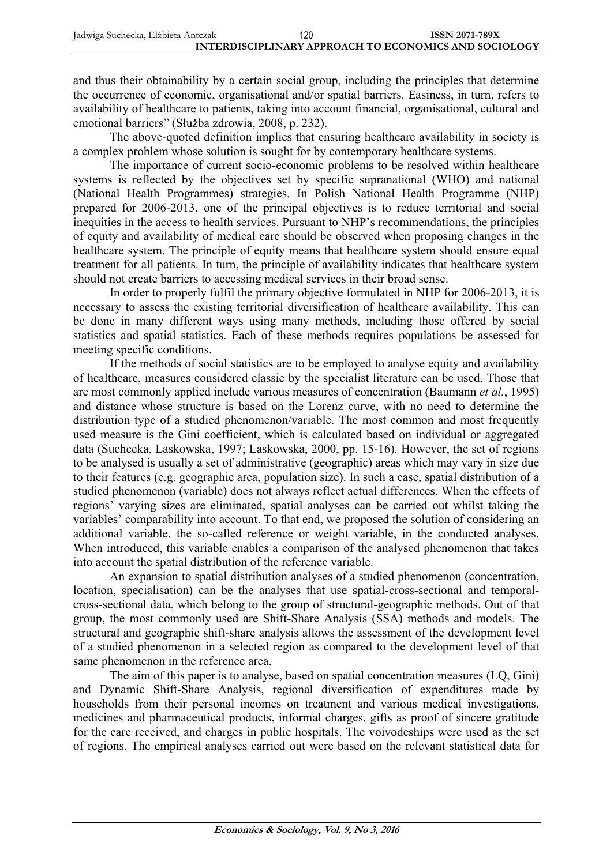and thus their obtainability by a certain social group, including the principles that determine the occurrence of economic, organisational and/or spatial barriers. Easiness, in turn, refers to availability of healthcare to patients, taking into account financial, organisational, cultural and emotional barriers" (Służba zdrowia, 2008, p. 232).

The above-quoted definition implies that ensuring healthcare availability in society is a complex problem whose solution is sought for by contemporary healthcare systems.

The importance of current socio-economic problems to be resolved within healthcare systems is reflected by the objectives set by specific supranational (WHO) and national (National Health Programmes) strategies. In Polish National Health Programme (NHP) prepared for 2006-2013, one of the principal objectives is to reduce territorial and social inequities in the access to health services. Pursuant to NHP's recommendations, the principles of equity and availability of medical care should be observed when proposing changes in the healthcare system. The principle of equity means that healthcare system should ensure equal treatment for all patients. In turn, the principle of availability indicates that healthcare system should not create barriers to accessing medical services in their broad sense.

In order to properly fulfil the primary objective formulated in NHP for 2006-2013, it is necessary to assess the existing territorial diversification of healthcare availability. This can be done in many different ways using many methods, including those offered by social statistics and spatial statistics. Each of these methods requires populations be assessed for meeting specific conditions.

If the methods of social statistics are to be employed to analyse equity and availability of healthcare, measures considered classic by the specialist literature can be used. Those that are most commonly applied include various measures of concentration (Baumann *et al.*, 1995) and distance whose structure is based on the Lorenz curve, with no need to determine the distribution type of a studied phenomenon/variable. The most common and most frequently used measure is the Gini coefficient, which is calculated based on individual or aggregated data (Suchecka, Laskowska, 1997; Laskowska, 2000, pp. 15-16). However, the set of regions to be analysed is usually a set of administrative (geographic) areas which may vary in size due to their features (e.g. geographic area, population size). In such a case, spatial distribution of a studied phenomenon (variable) does not always reflect actual differences. When the effects of regions' varying sizes are eliminated, spatial analyses can be carried out whilst taking the variables' comparability into account. To that end, we proposed the solution of considering an additional variable, the so-called reference or weight variable, in the conducted analyses. When introduced, this variable enables a comparison of the analysed phenomenon that takes into account the spatial distribution of the reference variable.

An expansion to spatial distribution analyses of a studied phenomenon (concentration, location, specialisation) can be the analyses that use spatial-cross-sectional and temporalcross-sectional data, which belong to the group of structural-geographic methods. Out of that group, the most commonly used are Shift-Share Analysis (SSA) methods and models. The structural and geographic shift-share analysis allows the assessment of the development level of a studied phenomenon in a selected region as compared to the development level of that same phenomenon in the reference area.

The aim of this paper is to analyse, based on spatial concentration measures (LQ, Gini) and Dynamic Shift-Share Analysis, regional diversification of expenditures made by households from their personal incomes on treatment and various medical investigations, medicines and pharmaceutical products, informal charges, gifts as proof of sincere gratitude for the care received, and charges in public hospitals. The voivodeships were used as the set of regions. The empirical analyses carried out were based on the relevant statistical data for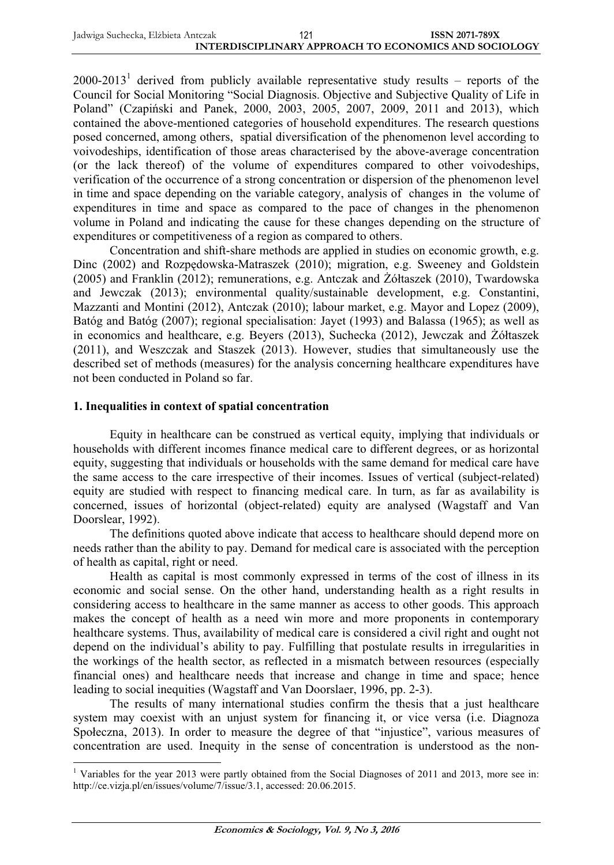2000-2013<sup>1</sup> derived from publicly available representative study results – reports of the Council for Social Monitoring "Social Diagnosis. Objective and Subjective Quality of Life in Poland" (Czapiński and Panek, 2000, 2003, 2005, 2007, 2009, 2011 and 2013), which contained the above-mentioned categories of household expenditures. The research questions posed concerned, among others, spatial diversification of the phenomenon level according to voivodeships, identification of those areas characterised by the above-average concentration (or the lack thereof) of the volume of expenditures compared to other voivodeships, verification of the occurrence of a strong concentration or dispersion of the phenomenon level in time and space depending on the variable category, analysis of changes in the volume of expenditures in time and space as compared to the pace of changes in the phenomenon volume in Poland and indicating the cause for these changes depending on the structure of expenditures or competitiveness of a region as compared to others.

Concentration and shift-share methods are applied in studies on economic growth, e.g. Dinc (2002) and Rozpedowska-Matraszek (2010); migration, e.g. Sweeney and Goldstein (2005) and Franklin (2012); remunerations, e.g. Antczak and ĩóátaszek (2010), Twardowska and Jewczak (2013); environmental quality/sustainable development, e.g. Constantini, Mazzanti and Montini (2012), Antczak (2010); labour market, e.g. Mayor and Lopez (2009), Batóg and Batóg (2007); regional specialisation: Jayet (1993) and Balassa (1965); as well as in economics and healthcare, e.g. Beyers (2013), Suchecka (2012), Jewczak and ĩóátaszek (2011), and Weszczak and Staszek (2013). However, studies that simultaneously use the described set of methods (measures) for the analysis concerning healthcare expenditures have not been conducted in Poland so far.

#### **1. Inequalities in context of spatial concentration**

Equity in healthcare can be construed as vertical equity, implying that individuals or households with different incomes finance medical care to different degrees, or as horizontal equity, suggesting that individuals or households with the same demand for medical care have the same access to the care irrespective of their incomes. Issues of vertical (subject-related) equity are studied with respect to financing medical care. In turn, as far as availability is concerned, issues of horizontal (object-related) equity are analysed (Wagstaff and Van Doorslear, 1992).

The definitions quoted above indicate that access to healthcare should depend more on needs rather than the ability to pay. Demand for medical care is associated with the perception of health as capital, right or need.

Health as capital is most commonly expressed in terms of the cost of illness in its economic and social sense. On the other hand, understanding health as a right results in considering access to healthcare in the same manner as access to other goods. This approach makes the concept of health as a need win more and more proponents in contemporary healthcare systems. Thus, availability of medical care is considered a civil right and ought not depend on the individual's ability to pay. Fulfilling that postulate results in irregularities in the workings of the health sector, as reflected in a mismatch between resources (especially financial ones) and healthcare needs that increase and change in time and space; hence leading to social inequities (Wagstaff and Van Doorslaer, 1996, pp. 2-3).

The results of many international studies confirm the thesis that a just healthcare system may coexist with an unjust system for financing it, or vice versa (i.e. Diagnoza Społeczna, 2013). In order to measure the degree of that "injustice", various measures of concentration are used. Inequity in the sense of concentration is understood as the non-

<sup>1</sup> Variables for the year 2013 were partly obtained from the Social Diagnoses of 2011 and 2013, more see in: http://ce.vizja.pl/en/issues/volume/7/issue/3.1, accessed: 20.06.2015.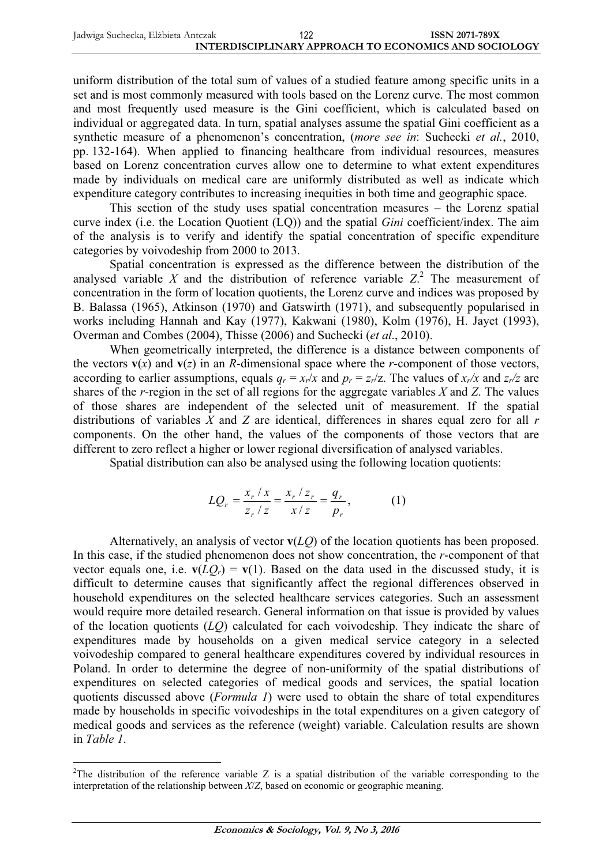uniform distribution of the total sum of values of a studied feature among specific units in a set and is most commonly measured with tools based on the Lorenz curve. The most common and most frequently used measure is the Gini coefficient, which is calculated based on individual or aggregated data. In turn, spatial analyses assume the spatial Gini coefficient as a synthetic measure of a phenomenon's concentration, (*more see in*: Suchecki *et al.*, 2010, pp. 132-164). When applied to financing healthcare from individual resources, measures based on Lorenz concentration curves allow one to determine to what extent expenditures made by individuals on medical care are uniformly distributed as well as indicate which expenditure category contributes to increasing inequities in both time and geographic space.

This section of the study uses spatial concentration measures – the Lorenz spatial curve index (i.e. the Location Quotient (LQ)) and the spatial *Gini* coefficient/index. The aim of the analysis is to verify and identify the spatial concentration of specific expenditure categories by voivodeship from 2000 to 2013.

Spatial concentration is expressed as the difference between the distribution of the analysed variable  $X$  and the distribution of reference variable  $Z$ <sup>2</sup>. The measurement of concentration in the form of location quotients, the Lorenz curve and indices was proposed by B. Balassa (1965), Atkinson (1970) and Gatswirth (1971), and subsequently popularised in works including Hannah and Kay (1977), Kakwani (1980), Kolm (1976), H. Jayet (1993), Overman and Combes (2004), Thisse (2006) and Suchecki (*et al*., 2010).

When geometrically interpreted, the difference is a distance between components of the vectors  $\mathbf{v}(x)$  and  $\mathbf{v}(z)$  in an *R*-dimensional space where the *r*-component of those vectors, according to earlier assumptions, equals  $q_r = x_r/x$  and  $p_r = z_r/z$ . The values of  $x_r/x$  and  $z_r/z$  are shares of the *r*-region in the set of all regions for the aggregate variables *X* and *Z*. The values of those shares are independent of the selected unit of measurement. If the spatial distributions of variables *X* and *Z* are identical, differences in shares equal zero for all *r* components. On the other hand, the values of the components of those vectors that are different to zero reflect a higher or lower regional diversification of analysed variables.

Spatial distribution can also be analysed using the following location quotients:

$$
LQ_r = \frac{x_r / x}{z_r / z} = \frac{x_r / z_r}{x / z} = \frac{q_r}{p_r},
$$
 (1)

Alternatively, an analysis of vector **v**(*LQ*) of the location quotients has been proposed. In this case, if the studied phenomenon does not show concentration, the *r*-component of that vector equals one, i.e.  $\mathbf{v}(LQ_r) = \mathbf{v}(1)$ . Based on the data used in the discussed study, it is difficult to determine causes that significantly affect the regional differences observed in household expenditures on the selected healthcare services categories. Such an assessment would require more detailed research. General information on that issue is provided by values of the location quotients (*LQ*) calculated for each voivodeship. They indicate the share of expenditures made by households on a given medical service category in a selected voivodeship compared to general healthcare expenditures covered by individual resources in Poland. In order to determine the degree of non-uniformity of the spatial distributions of expenditures on selected categories of medical goods and services, the spatial location quotients discussed above (*Formula 1*) were used to obtain the share of total expenditures made by households in specific voivodeships in the total expenditures on a given category of medical goods and services as the reference (weight) variable. Calculation results are shown in *Table 1*.

 $2$ The distribution of the reference variable Z is a spatial distribution of the variable corresponding to the interpretation of the relationship between *X*/*Z*, based on economic or geographic meaning.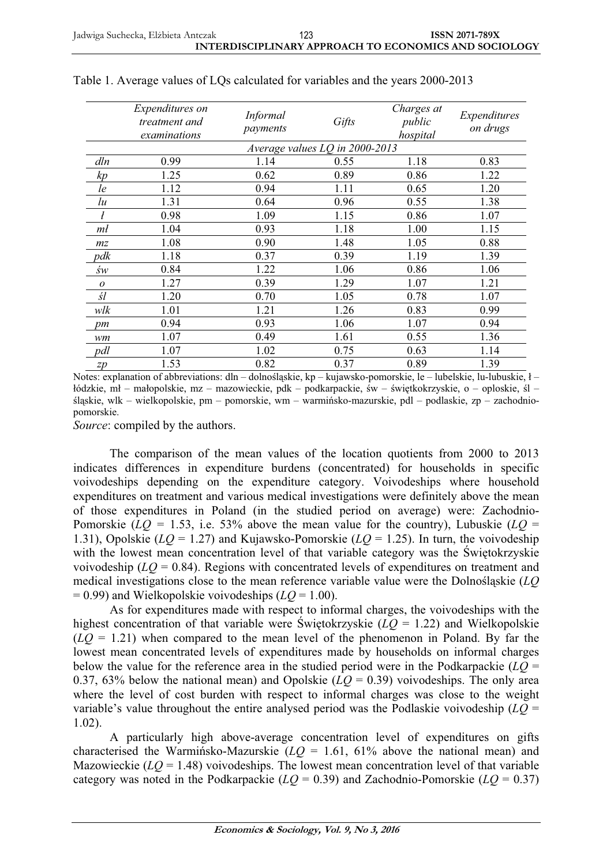|                | <i>Expenditures on</i><br>treatment and<br>examinations | <i>Informal</i><br>payments | Gifts                          | Charges at<br>public<br>hospital | Expenditures<br>on drugs |
|----------------|---------------------------------------------------------|-----------------------------|--------------------------------|----------------------------------|--------------------------|
|                |                                                         |                             | Average values LQ in 2000-2013 |                                  |                          |
| dln            | 0.99                                                    | 1.14                        | 0.55                           | 1.18                             | 0.83                     |
| kp             | 1.25                                                    | 0.62                        | 0.89                           | 0.86                             | 1.22                     |
| le             | 1.12                                                    | 0.94                        | 1.11                           | 0.65                             | 1.20                     |
| lu             | 1.31                                                    | 0.64                        | 0.96                           | 0.55                             | 1.38                     |
|                | 0.98                                                    | 1.09                        | 1.15                           | 0.86                             | 1.07                     |
| mł             | 1.04                                                    | 0.93                        | 1.18                           | 1.00                             | 1.15                     |
| m <sub>z</sub> | 1.08                                                    | 0.90                        | 1.48                           | 1.05                             | 0.88                     |
| pdk            | 1.18                                                    | 0.37                        | 0.39                           | 1.19                             | 1.39                     |
| św             | 0.84                                                    | 1.22                        | 1.06                           | 0.86                             | 1.06                     |
| $\overline{O}$ | 1.27                                                    | 0.39                        | 1.29                           | 1.07                             | 1.21                     |
| śl             | 1.20                                                    | 0.70                        | 1.05                           | 0.78                             | 1.07                     |
| wlk            | 1.01                                                    | 1.21                        | 1.26                           | 0.83                             | 0.99                     |
| pm             | 0.94                                                    | 0.93                        | 1.06                           | 1.07                             | 0.94                     |
| wm             | 1.07                                                    | 0.49                        | 1.61                           | 0.55                             | 1.36                     |
| pdl            | 1.07                                                    | 1.02                        | 0.75                           | 0.63                             | 1.14                     |
| zp             | 1.53                                                    | 0.82                        | 0.37                           | 0.89                             | 1.39                     |

|  |  |  |  | Table 1. Average values of LQs calculated for variables and the years 2000-2013 |
|--|--|--|--|---------------------------------------------------------------------------------|
|--|--|--|--|---------------------------------------------------------------------------------|

Notes: explanation of abbreviations:  $dh - dolnošlaskie$ , kp – kujawsko-pomorskie, le – lubelskie, lu-lubuskie,  $l$ łódzkie, mł – małopolskie, mz – mazowieckie, pdk – podkarpackie, św – świętkokrzyskie, o – oploskie, śl – śląskie, wlk – wielkopolskie, pm – pomorskie, wm – warmińsko-mazurskie, pdl – podlaskie, zp – zachodniopomorskie.

*Source*: compiled by the authors.

The comparison of the mean values of the location quotients from 2000 to 2013 indicates differences in expenditure burdens (concentrated) for households in specific voivodeships depending on the expenditure category. Voivodeships where household expenditures on treatment and various medical investigations were definitely above the mean of those expenditures in Poland (in the studied period on average) were: Zachodnio-Pomorskie ( $LQ = 1.53$ , i.e. 53% above the mean value for the country), Lubuskie ( $LQ =$ 1.31), Opolskie (*LQ* = 1.27) and Kujawsko-Pomorskie (*LQ* = 1.25). In turn, the voivodeship with the lowest mean concentration level of that variable category was the Świętokrzyskie voivodeship  $(LQ = 0.84)$ . Regions with concentrated levels of expenditures on treatment and medical investigations close to the mean reference variable value were the DolnoĞląskie (*LQ*  = 0.99) and Wielkopolskie voivodeships (*LQ* = 1.00).

As for expenditures made with respect to informal charges, the voivodeships with the highest concentration of that variable were Świętokrzyskie ( $LQ = 1.22$ ) and Wielkopolskie  $(LO = 1.21)$  when compared to the mean level of the phenomenon in Poland. By far the lowest mean concentrated levels of expenditures made by households on informal charges below the value for the reference area in the studied period were in the Podkarpackie  $(LQ =$ 0.37, 63% below the national mean) and Opolskie  $(LQ = 0.39)$  voivodeships. The only area where the level of cost burden with respect to informal charges was close to the weight variable's value throughout the entire analysed period was the Podlaskie voivodeship  $(L\overline{Q})$  = 1.02).

A particularly high above-average concentration level of expenditures on gifts characterised the Warmińsko-Mazurskie  $(LQ = 1.61, 61\%$  above the national mean) and Mazowieckie  $(LQ = 1.48)$  voivodeships. The lowest mean concentration level of that variable category was noted in the Podkarpackie  $(LQ = 0.39)$  and Zachodnio-Pomorskie  $(LQ = 0.37)$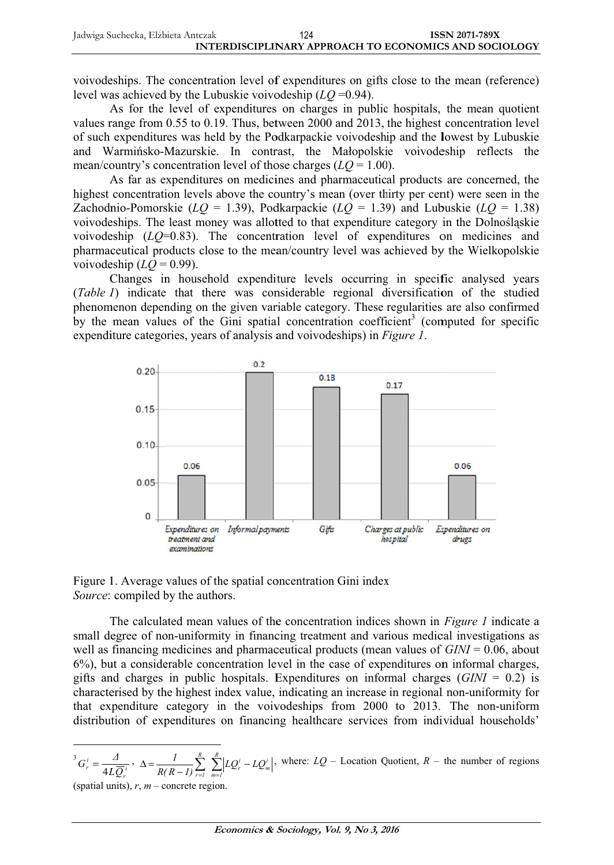voivodeships. The concentration level of expenditures on gifts close to the mean (reference) level was achieved by the Lubuskie voivodeship  $(LO = 0.94)$ .

As for the level of expenditures on charges in public hospitals, the mean quotient values range from 0.55 to 0.19. Thus, between 2000 and 2013, the highest concentration level of such expenditures was held by the Podkarpackie voivodeship and the lowest by Lubuskie and Warmińsko-Mazurskie. In contrast, the Małopolskie voivodeship reflects the mean/country's concentration level of those charges  $(LQ = 1.00)$ .

As far as expenditures on medicines and pharmaceutical products are concerned, the highest concentration levels above the country's mean (over thirty per cent) were seen in the Zachodnio-Pomorskie ( $LQ = 1.39$ ), Podkarpackie ( $LQ = 1.39$ ) and Lubuskie ( $LQ = 1.38$ ) voivodeships. The least money was allotted to that expenditure category in the Dolnośląskie voivodeship  $(LQ=0.83)$ . The concentration level of expenditures on medicines and pharmaceutical products close to the mean/country level was achieved by the Wielkopolskie voivodeship  $(LQ = 0.99)$ .

Changes in household expenditure levels occurring in specific analysed years (Table 1) indicate that there was considerable regional diversification of the studied phenomenon depending on the given variable category. These regularities are also confirmed by the mean values of the Gini spatial concentration coefficient<sup>3</sup> (computed for specific expenditure categories, years of analysis and voivodeships) in Figure 1.



Figure 1. Average values of the spatial concentration Gini index Source: compiled by the authors.

The calculated mean values of the concentration indices shown in *Figure 1* indicate a small degree of non-uniformity in financing treatment and various medical investigations as well as financing medicines and pharmaceutical products (mean values of  $GINI = 0.06$ , about 6%), but a considerable concentration level in the case of expenditures on informal charges, gifts and charges in public hospitals. Expenditures on informal charges  $(GINI = 0.2)$  is characterised by the highest index value, indicating an increase in regional non-uniformity for that expenditure category in the voivodeships from 2000 to 2013. The non-uniform distribution of expenditures on financing healthcare services from individual households'

$$
{}^{3}G_{r}^{i} = \frac{\Delta}{4L\overline{Q}_{r}^{i}}, \quad \Delta = \frac{I}{R(R-1)}\sum_{r=1}^{R}\sum_{m=1}^{R}|LQ_{r}^{i} - LQ_{m}^{i}|
$$
, where:  $LQ$  – Location Quotient,  $R$  – the number of regions

(spatial units),  $r, m$  – concrete region.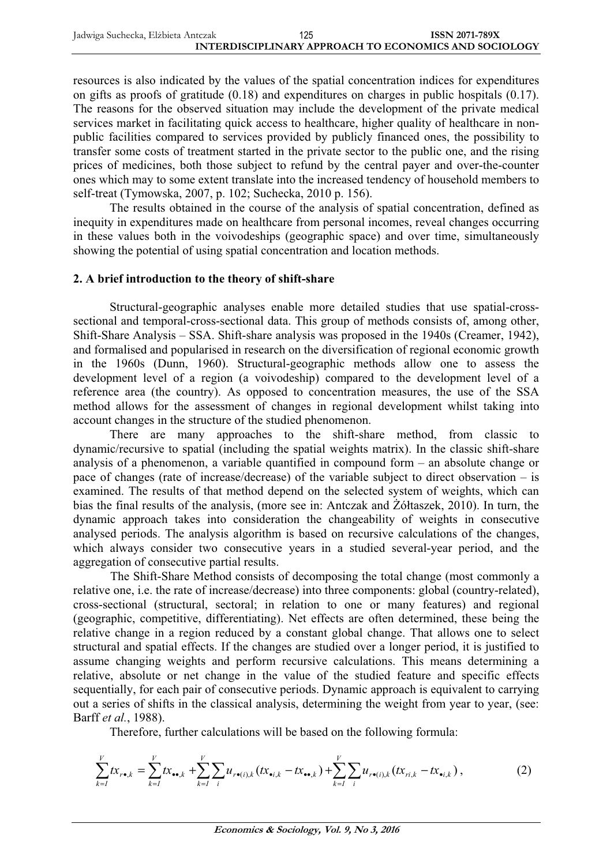resources is also indicated by the values of the spatial concentration indices for expenditures on gifts as proofs of gratitude (0.18) and expenditures on charges in public hospitals (0.17). The reasons for the observed situation may include the development of the private medical services market in facilitating quick access to healthcare, higher quality of healthcare in nonpublic facilities compared to services provided by publicly financed ones, the possibility to transfer some costs of treatment started in the private sector to the public one, and the rising prices of medicines, both those subject to refund by the central payer and over-the-counter ones which may to some extent translate into the increased tendency of household members to self-treat (Tymowska, 2007, p. 102; Suchecka, 2010 p. 156).

The results obtained in the course of the analysis of spatial concentration, defined as inequity in expenditures made on healthcare from personal incomes, reveal changes occurring in these values both in the voivodeships (geographic space) and over time, simultaneously showing the potential of using spatial concentration and location methods.

#### **2. A brief introduction to the theory of shift-share**

Structural-geographic analyses enable more detailed studies that use spatial-crosssectional and temporal-cross-sectional data. This group of methods consists of, among other, Shift-Share Analysis – SSA. Shift-share analysis was proposed in the 1940s (Creamer, 1942), and formalised and popularised in research on the diversification of regional economic growth in the 1960s (Dunn, 1960). Structural-geographic methods allow one to assess the development level of a region (a voivodeship) compared to the development level of a reference area (the country). As opposed to concentration measures, the use of the SSA method allows for the assessment of changes in regional development whilst taking into account changes in the structure of the studied phenomenon.

There are many approaches to the shift-share method, from classic to dynamic/recursive to spatial (including the spatial weights matrix). In the classic shift-share analysis of a phenomenon, a variable quantified in compound form – an absolute change or pace of changes (rate of increase/decrease) of the variable subject to direct observation – is examined. The results of that method depend on the selected system of weights, which can bias the final results of the analysis, (more see in: Antczak and Żółtaszek, 2010). In turn, the dynamic approach takes into consideration the changeability of weights in consecutive analysed periods. The analysis algorithm is based on recursive calculations of the changes, which always consider two consecutive years in a studied several-year period, and the aggregation of consecutive partial results.

The Shift-Share Method consists of decomposing the total change (most commonly a relative one, i.e. the rate of increase/decrease) into three components: global (country-related), cross-sectional (structural, sectoral; in relation to one or many features) and regional (geographic, competitive, differentiating). Net effects are often determined, these being the relative change in a region reduced by a constant global change. That allows one to select structural and spatial effects. If the changes are studied over a longer period, it is justified to assume changing weights and perform recursive calculations. This means determining a relative, absolute or net change in the value of the studied feature and specific effects sequentially, for each pair of consecutive periods. Dynamic approach is equivalent to carrying out a series of shifts in the classical analysis, determining the weight from year to year, (see: Barff *et al.*, 1988).

Therefore, further calculations will be based on the following formula:

$$
\sum_{k=1}^{V} tx_{r\bullet,k} = \sum_{k=1}^{V} tx_{\bullet\bullet,k} + \sum_{k=1}^{V} \sum_{i} u_{r\bullet(i),k} (tx_{\bullet i,k} - tx_{\bullet k}) + \sum_{k=1}^{V} \sum_{i} u_{r\bullet(i),k} (tx_{ri,k} - tx_{\bullet i,k}), \qquad (2)
$$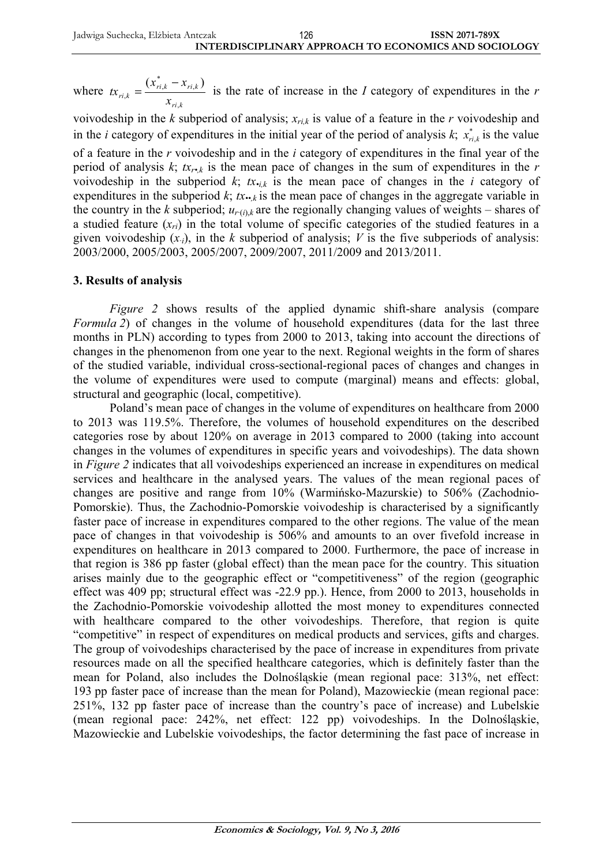where *ri k*  $r_{i,k} = \frac{(x_{ri,k}^* - x_{ri,k})}{x_{ri,k}}$  $tx_{ri,k} = \frac{(x_{ri,k}^* - x_{ni})}{(x_{ni,k}^* - x_{ni})}$ ,  $_{k} = \frac{\left(\lambda_{ri,k} - \lambda_{ri}\right)}{k}$  $=\frac{(x_{ri,k}^* - x_{ri,k})}{(x_{ri,k}^* - x_{ri,k})}$  is the rate of increase in the *I* category of expenditures in the *r* 

voivodeship in the  $k$  subperiod of analysis;  $x_{r, k}$  is value of a feature in the  $r$  voivodeship and in the *i* category of expenditures in the initial year of the period of analysis  $k$ ;  $x_{i,i,k}^*$  is the value

of a feature in the *r* voivodeship and in the *i* category of expenditures in the final year of the period of analysis  $k$ ;  $tx_r$ <sub>*k*</sub> is the mean pace of changes in the sum of expenditures in the *r* voivodeship in the subperiod  $k$ ;  $tx_{i,k}$  is the mean pace of changes in the *i* category of expenditures in the subperiod  $k$ ;  $tx \rightarrow k$  is the mean pace of changes in the aggregate variable in the country in the *k* subperiod;  $u_{r(i),k}$  are the regionally changing values of weights – shares of a studied feature  $(x_{ri})$  in the total volume of specific categories of the studied features in a given voivodeship  $(x_i)$ , in the *k* subperiod of analysis; *V* is the five subperiods of analysis: 2003/2000, 2005/2003, 2005/2007, 2009/2007, 2011/2009 and 2013/2011.

#### **3. Results of analysis**

*Figure 2* shows results of the applied dynamic shift-share analysis (compare *Formula 2*) of changes in the volume of household expenditures (data for the last three months in PLN) according to types from 2000 to 2013, taking into account the directions of changes in the phenomenon from one year to the next. Regional weights in the form of shares of the studied variable, individual cross-sectional-regional paces of changes and changes in the volume of expenditures were used to compute (marginal) means and effects: global, structural and geographic (local, competitive).

Poland's mean pace of changes in the volume of expenditures on healthcare from 2000 to 2013 was 119.5%. Therefore, the volumes of household expenditures on the described categories rose by about 120% on average in 2013 compared to 2000 (taking into account changes in the volumes of expenditures in specific years and voivodeships). The data shown in *Figure 2* indicates that all voivodeships experienced an increase in expenditures on medical services and healthcare in the analysed years. The values of the mean regional paces of changes are positive and range from 10% (Warmińsko-Mazurskie) to 506% (Zachodnio-Pomorskie). Thus, the Zachodnio-Pomorskie voivodeship is characterised by a significantly faster pace of increase in expenditures compared to the other regions. The value of the mean pace of changes in that voivodeship is 506% and amounts to an over fivefold increase in expenditures on healthcare in 2013 compared to 2000. Furthermore, the pace of increase in that region is 386 pp faster (global effect) than the mean pace for the country. This situation arises mainly due to the geographic effect or "competitiveness" of the region (geographic effect was 409 pp; structural effect was -22.9 pp.). Hence, from 2000 to 2013, households in the Zachodnio-Pomorskie voivodeship allotted the most money to expenditures connected with healthcare compared to the other voivodeships. Therefore, that region is quite "competitive" in respect of expenditures on medical products and services, gifts and charges. The group of voivodeships characterised by the pace of increase in expenditures from private resources made on all the specified healthcare categories, which is definitely faster than the mean for Poland, also includes the DolnoĞląskie (mean regional pace: 313%, net effect: 193 pp faster pace of increase than the mean for Poland), Mazowieckie (mean regional pace: 251%, 132 pp faster pace of increase than the country's pace of increase) and Lubelskie (mean regional pace: 242%, net effect: 122 pp) voivodeships. In the DolnoĞląskie, Mazowieckie and Lubelskie voivodeships, the factor determining the fast pace of increase in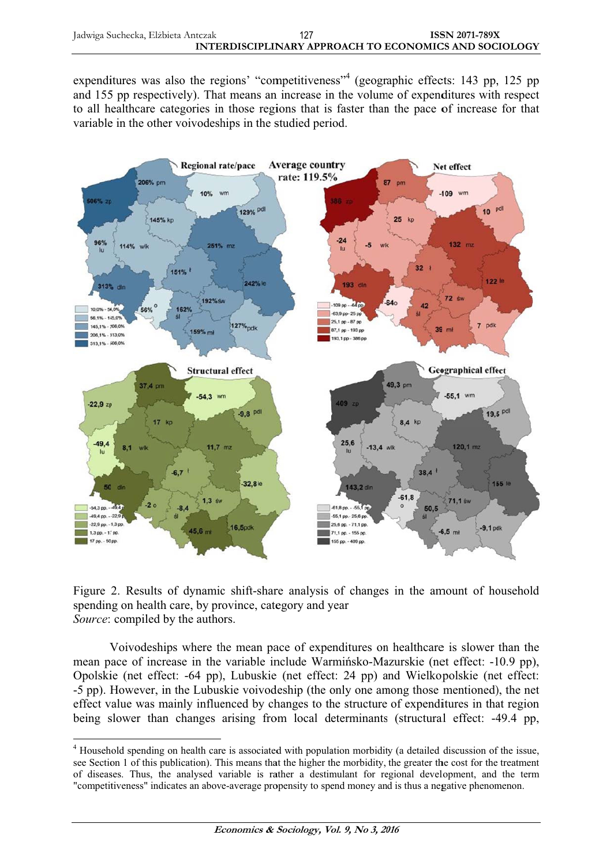expenditures was also the regions' "competitiveness"<sup>4</sup> (geographic effects: 143 pp, 125 pp and 155 pp respectively). That means an increase in the volume of expenditures with respect to all healthcare categories in those regions that is faster than the pace of increase for that variable in the other voivodeships in the studied period.



Figure 2. Results of dynamic shift-share analysis of changes in the amount of household spending on health care, by province, category and year Source: compiled by the authors.

Voivodeships where the mean pace of expenditures on healthcare is slower than the mean pace of increase in the variable include Warminsko-Mazurskie (net effect: -10.9 pp), Opolskie (net effect: -64 pp), Lubuskie (net effect: 24 pp) and Wielkopolskie (net effect: -5 pp). However, in the Lubuskie voivodeship (the only one among those mentioned), the net effect value was mainly influenced by changes to the structure of expenditures in that region being slower than changes arising from local determinants (structural effect: -49.4 pp.

<sup>&</sup>lt;sup>4</sup> Household spending on health care is associated with population morbidity (a detailed discussion of the issue, see Section 1 of this publication). This means that the higher the morbidity, the greater the cost for the treatment of diseases. Thus, the analysed variable is rather a destimulant for regional development, and the term "competitiveness" indicates an above-average propensity to spend money and is thus a negative phenomenon.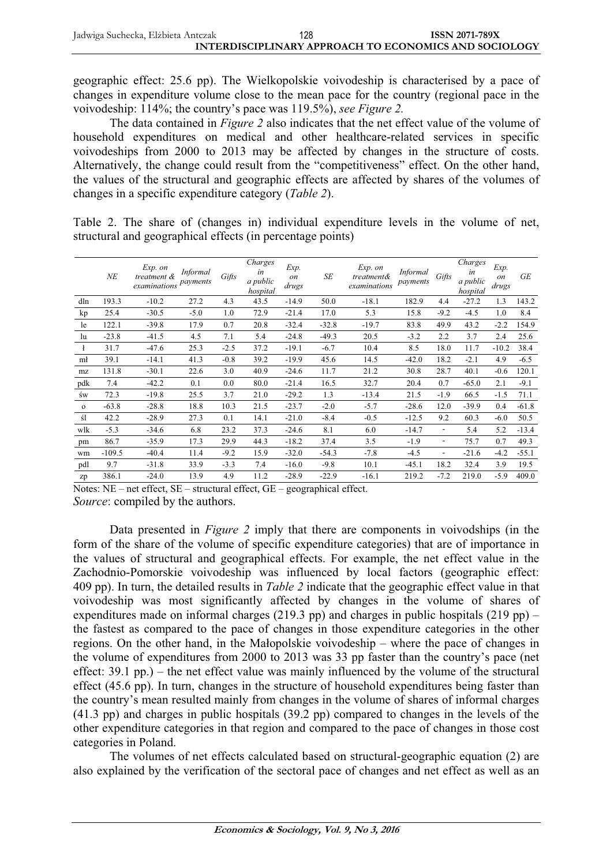| Jadwiga Suchecka, Elżbieta Antczak | 128 | <b>ISSN 2071-789X</b>                                 |
|------------------------------------|-----|-------------------------------------------------------|
|                                    |     | INTERDISCIPLINARY APPROACH TO ECONOMICS AND SOCIOLOGY |

geographic effect: 25.6 pp). The Wielkopolskie voivodeship is characterised by a pace of changes in expenditure volume close to the mean pace for the country (regional pace in the voivodeship: 114%; the country's pace was 119.5%), see Figure 2.

The data contained in *Figure 2* also indicates that the net effect value of the volume of household expenditures on medical and other healthcare-related services in specific voivodeships from 2000 to 2013 may be affected by changes in the structure of costs. Alternatively, the change could result from the "competitiveness" effect. On the other hand, the values of the structural and geographic effects are affected by shares of the volumes of changes in a specific expenditure category (*Table 2*).

Table 2. The share of (changes in) individual expenditure levels in the volume of net, structural and geographical effects (in percentage points)

|              | $N\!E$   | Exp. on<br>treatment $\&$<br>examinations payments | Informal | Gifts  | Charges<br>in<br>a public<br>hospital | Exp.<br>on<br>drugs | SE      | Exp. on<br>treatment&<br>examinations | <b>Informal</b><br>payments | Gifts                    | Charges<br>in<br>a public<br>hospital | Exp.<br><i>on</i><br>drugs | <b>GE</b> |
|--------------|----------|----------------------------------------------------|----------|--------|---------------------------------------|---------------------|---------|---------------------------------------|-----------------------------|--------------------------|---------------------------------------|----------------------------|-----------|
| dln          | 193.3    | $-10.2$                                            | 27.2     | 4.3    | 43.5                                  | $-14.9$             | 50.0    | $-18.1$                               | 182.9                       | 4.4                      | $-27.2$                               | 1.3                        | 143.2     |
| kp           | 25.4     | $-30.5$                                            | $-5.0$   | 1.0    | 72.9                                  | $-21.4$             | 17.0    | 5.3                                   | 15.8                        | $-9.2$                   | $-4.5$                                | 1.0                        | 8.4       |
| le           | 122.1    | $-39.8$                                            | 17.9     | 0.7    | 20.8                                  | $-32.4$             | $-32.8$ | $-19.7$                               | 83.8                        | 49.9                     | 43.2                                  | $-2.2$                     | 154.9     |
| lu           | $-23.8$  | $-41.5$                                            | 4.5      | 7.1    | 5.4                                   | $-24.8$             | $-49.3$ | 20.5                                  | $-3.2$                      | 2.2                      | 3.7                                   | 2.4                        | 25.6      |
| ł            | 31.7     | $-47.6$                                            | 25.3     | $-2.5$ | 37.2                                  | $-19.1$             | $-6.7$  | 10.4                                  | 8.5                         | 18.0                     | 11.7                                  | $-10.2$                    | 38.4      |
| mł           | 39.1     | $-14.1$                                            | 41.3     | $-0.8$ | 39.2                                  | $-19.9$             | 45.6    | 14.5                                  | $-42.0$                     | 18.2                     | $-2.1$                                | 4.9                        | $-6.5$    |
| mz           | 131.8    | $-30.1$                                            | 22.6     | 3.0    | 40.9                                  | $-24.6$             | 11.7    | 21.2                                  | 30.8                        | 28.7                     | 40.1                                  | $-0.6$                     | 120.1     |
| pdk          | 7.4      | $-42.2$                                            | 0.1      | 0.0    | 80.0                                  | $-21.4$             | 16.5    | 32.7                                  | 20.4                        | 0.7                      | $-65.0$                               | 2.1                        | $-9.1$    |
| św           | 72.3     | $-19.8$                                            | 25.5     | 3.7    | 21.0                                  | $-29.2$             | 1.3     | $-13.4$                               | 21.5                        | $-1.9$                   | 66.5                                  | $-1.5$                     | 71.1      |
| $\mathbf{o}$ | $-63.8$  | $-28.8$                                            | 18.8     | 10.3   | 21.5                                  | $-23.7$             | $-2.0$  | $-5.7$                                | $-28.6$                     | 12.0                     | $-39.9$                               | 0.4                        | $-61.8$   |
| śl           | 42.2     | $-28.9$                                            | 27.3     | 0.1    | 14.1                                  | $-21.0$             | $-8.4$  | $-0.5$                                | $-12.5$                     | 9.2                      | 60.3                                  | $-6.0$                     | 50.5      |
| wlk          | $-5.3$   | $-34.6$                                            | 6.8      | 23.2   | 37.3                                  | $-24.6$             | 8.1     | 6.0                                   | $-14.7$                     | $\overline{\phantom{a}}$ | 5.4                                   | 5.2                        | $-13.4$   |
| pm           | 86.7     | $-35.9$                                            | 17.3     | 29.9   | 44.3                                  | $-18.2$             | 37.4    | 3.5                                   | $-1.9$                      | ٠                        | 75.7                                  | 0.7                        | 49.3      |
| wm           | $-109.5$ | $-40.4$                                            | 11.4     | $-9.2$ | 15.9                                  | $-32.0$             | $-54.3$ | $-7.8$                                | $-4.5$                      | $\overline{\phantom{a}}$ | $-21.6$                               | $-4.2$                     | $-55.1$   |
| pdl          | 9.7      | $-31.8$                                            | 33.9     | $-3.3$ | 7.4                                   | $-16.0$             | $-9.8$  | 10.1                                  | $-45.1$                     | 18.2                     | 32.4                                  | 3.9                        | 19.5      |
| zp           | 386.1    | $-24.0$                                            | 13.9     | 4.9    | 11.2                                  | $-28.9$             | $-22.9$ | $-16.1$                               | 219.2                       | $-7.2$                   | 219.0                                 | $-5.9$                     | 409.0     |

Notes:  $NE$  – net effect,  $SE$  – structural effect,  $GE$  – geographical effect. Source: compiled by the authors.

Data presented in *Figure 2* imply that there are components in voivodships (in the form of the share of the volume of specific expenditure categories) that are of importance in the values of structural and geographical effects. For example, the net effect value in the Zachodnio-Pomorskie voivodeship was influenced by local factors (geographic effect: 409 pp). In turn, the detailed results in *Table 2* indicate that the geographic effect value in that voivodeship was most significantly affected by changes in the volume of shares of expenditures made on informal charges (219.3 pp) and charges in public hospitals (219 pp) – the fastest as compared to the pace of changes in those expenditure categories in the other regions. On the other hand, in the Malopolskie voivodeship – where the pace of changes in the volume of expenditures from 2000 to 2013 was 33 pp faster than the country's pace (net effect:  $39.1$  pp.) – the net effect value was mainly influenced by the volume of the structural effect (45.6 pp). In turn, changes in the structure of household expenditures being faster than the country's mean resulted mainly from changes in the volume of shares of informal charges  $(41.3 \text{ pp})$  and charges in public hospitals  $(39.2 \text{ pp})$  compared to changes in the levels of the other expenditure categories in that region and compared to the pace of changes in those cost categories in Poland.

The volumes of net effects calculated based on structural-geographic equation (2) are also explained by the verification of the sectoral pace of changes and net effect as well as an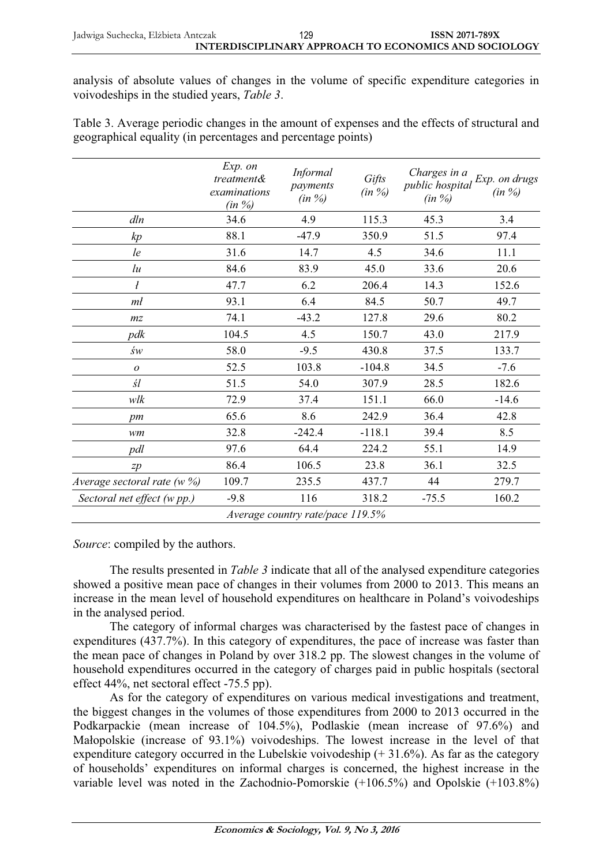analysis of absolute values of changes in the volume of specific expenditure categories in voivodeships in the studied years, Table 3.

Table 3. Average periodic changes in the amount of expenses and the effects of structural and geographical equality (in percentages and percentage points)

|                             | Exp. on<br><i>treatment&amp;</i><br>examinations<br>$(in \%)$ | <i>Informal</i><br>payments<br>$(in \%)$ | Gifts<br>$(in \%)$ | Charges in a<br>public hospital<br>$(in \%)$ | Exp. on drugs<br>$(in \%)$ |
|-----------------------------|---------------------------------------------------------------|------------------------------------------|--------------------|----------------------------------------------|----------------------------|
| dln                         | 34.6                                                          | 4.9                                      | 115.3              | 45.3                                         | 3.4                        |
| kp                          | 88.1                                                          | $-47.9$                                  | 350.9              | 51.5                                         | 97.4                       |
| le                          | 31.6                                                          | 14.7                                     | 4.5                | 34.6                                         | 11.1                       |
| lu                          | 84.6                                                          | 83.9                                     | 45.0               | 33.6                                         | 20.6                       |
| $\mathfrak{p}$              | 47.7                                                          | 6.2                                      | 206.4              | 14.3                                         | 152.6                      |
| mł                          | 93.1                                                          | 6.4                                      | 84.5               | 50.7                                         | 49.7                       |
| m <sub>z</sub>              | 74.1                                                          | $-43.2$                                  | 127.8              | 29.6                                         | 80.2                       |
| pdk                         | 104.5                                                         | 4.5                                      | 150.7              | 43.0                                         | 217.9                      |
| św                          | 58.0                                                          | $-9.5$                                   | 430.8              | 37.5                                         | 133.7                      |
| $\boldsymbol{o}$            | 52.5                                                          | 103.8                                    | $-104.8$           | 34.5                                         | $-7.6$                     |
| śl                          | 51.5                                                          | 54.0                                     | 307.9              | 28.5                                         | 182.6                      |
| wlk                         | 72.9                                                          | 37.4                                     | 151.1              | 66.0                                         | $-14.6$                    |
| pm                          | 65.6                                                          | 8.6                                      | 242.9              | 36.4                                         | 42.8                       |
| wm                          | 32.8                                                          | $-242.4$                                 | $-118.1$           | 39.4                                         | 8.5                        |
| pdl                         | 97.6                                                          | 64.4                                     | 224.2              | 55.1                                         | 14.9                       |
| zp                          | 86.4                                                          | 106.5                                    | 23.8               | 36.1                                         | 32.5                       |
| Average sectoral rate (w %) | 109.7                                                         | 235.5                                    | 437.7              | 44                                           | 279.7                      |
| Sectoral net effect (w pp.) | $-9.8$                                                        | 116                                      | 318.2              | $-75.5$                                      | 160.2                      |
|                             |                                                               | Average country rate/pace 119.5%         |                    |                                              |                            |

*Source:* compiled by the authors.

The results presented in *Table 3* indicate that all of the analysed expenditure categories showed a positive mean pace of changes in their volumes from 2000 to 2013. This means an increase in the mean level of household expenditures on healthcare in Poland's voivodeships in the analysed period.

The category of informal charges was characterised by the fastest pace of changes in expenditures (437.7%). In this category of expenditures, the pace of increase was faster than the mean pace of changes in Poland by over 318.2 pp. The slowest changes in the volume of household expenditures occurred in the category of charges paid in public hospitals (sectoral effect 44%, net sectoral effect -75.5 pp).

As for the category of expenditures on various medical investigations and treatment, the biggest changes in the volumes of those expenditures from 2000 to 2013 occurred in the Podkarpackie (mean increase of 104.5%), Podlaskie (mean increase of 97.6%) and Małopolskie (increase of 93.1%) voivodeships. The lowest increase in the level of that expenditure category occurred in the Lubelskie voivodeship  $(+31.6\%)$ . As far as the category of households' expenditures on informal charges is concerned, the highest increase in the variable level was noted in the Zachodnio-Pomorskie  $(+106.5%)$  and Opolskie  $(+103.8%)$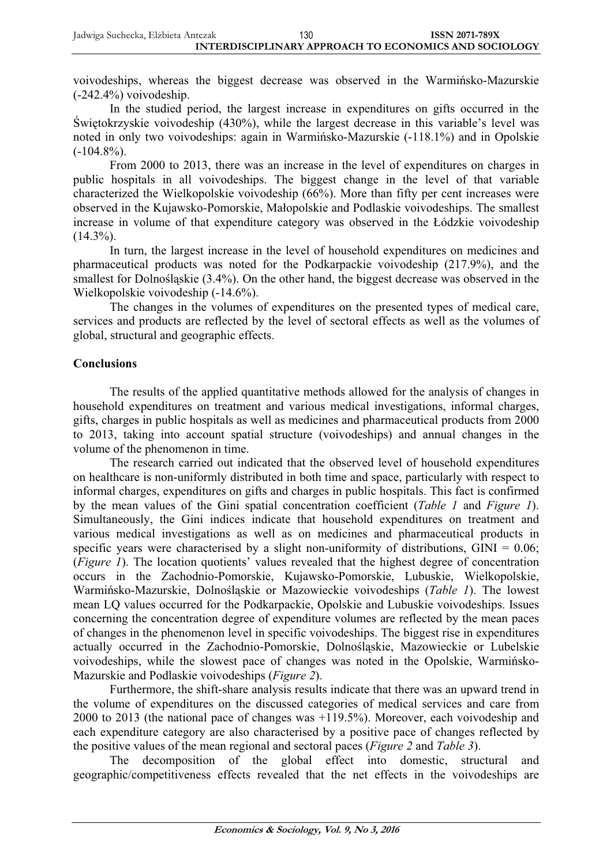voivodeships, whereas the biggest decrease was observed in the Warminsko-Mazurskie  $(-242.4\%)$  voivodeship.

In the studied period, the largest increase in expenditures on gifts occurred in the Świętokrzyskie voivodeship  $(430\%)$ , while the largest decrease in this variable's level was noted in only two voivodeships: again in Warmińsko-Mazurskie (-118.1%) and in Opolskie  $(-104.8\%)$ .

From 2000 to 2013, there was an increase in the level of expenditures on charges in public hospitals in all voivodeships. The biggest change in the level of that variable characterized the Wielkopolskie voivodeship (66%). More than fifty per cent increases were observed in the Kujawsko-Pomorskie, Maáopolskie and Podlaskie voivodeships. The smallest increase in volume of that expenditure category was observed in the Łódzkie voivodeship  $(14.3\%)$ .

In turn, the largest increase in the level of household expenditures on medicines and pharmaceutical products was noted for the Podkarpackie voivodeship (217.9%), and the smallest for Dolnoślaskie (3.4%). On the other hand, the biggest decrease was observed in the Wielkopolskie voivodeship (-14.6%).

The changes in the volumes of expenditures on the presented types of medical care, services and products are reflected by the level of sectoral effects as well as the volumes of global, structural and geographic effects.

### **Conclusions**

The results of the applied quantitative methods allowed for the analysis of changes in household expenditures on treatment and various medical investigations, informal charges, gifts, charges in public hospitals as well as medicines and pharmaceutical products from 2000 to 2013, taking into account spatial structure (voivodeships) and annual changes in the volume of the phenomenon in time.

The research carried out indicated that the observed level of household expenditures on healthcare is non-uniformly distributed in both time and space, particularly with respect to informal charges, expenditures on gifts and charges in public hospitals. This fact is confirmed by the mean values of the Gini spatial concentration coefficient (*Table 1* and *Figure 1*). Simultaneously, the Gini indices indicate that household expenditures on treatment and various medical investigations as well as on medicines and pharmaceutical products in specific years were characterised by a slight non-uniformity of distributions,  $GINI = 0.06$ ; (*Figure 1*). The location quotients' values revealed that the highest degree of concentration occurs in the Zachodnio-Pomorskie, Kujawsko-Pomorskie, Lubuskie, Wielkopolskie, Warmińsko-Mazurskie, Dolnośląskie or Mazowieckie voivodeships (*Table 1*). The lowest mean LQ values occurred for the Podkarpackie, Opolskie and Lubuskie voivodeships. Issues concerning the concentration degree of expenditure volumes are reflected by the mean paces of changes in the phenomenon level in specific voivodeships. The biggest rise in expenditures actually occurred in the Zachodnio-Pomorskie, DolnoĞląskie, Mazowieckie or Lubelskie voivodeships, while the slowest pace of changes was noted in the Opolskie, Warmińsko-Mazurskie and Podlaskie voivodeships (*Figure 2*).

Furthermore, the shift-share analysis results indicate that there was an upward trend in the volume of expenditures on the discussed categories of medical services and care from 2000 to 2013 (the national pace of changes was +119.5%). Moreover, each voivodeship and each expenditure category are also characterised by a positive pace of changes reflected by the positive values of the mean regional and sectoral paces (*Figure 2* and *Table 3*).

The decomposition of the global effect into domestic, structural and geographic/competitiveness effects revealed that the net effects in the voivodeships are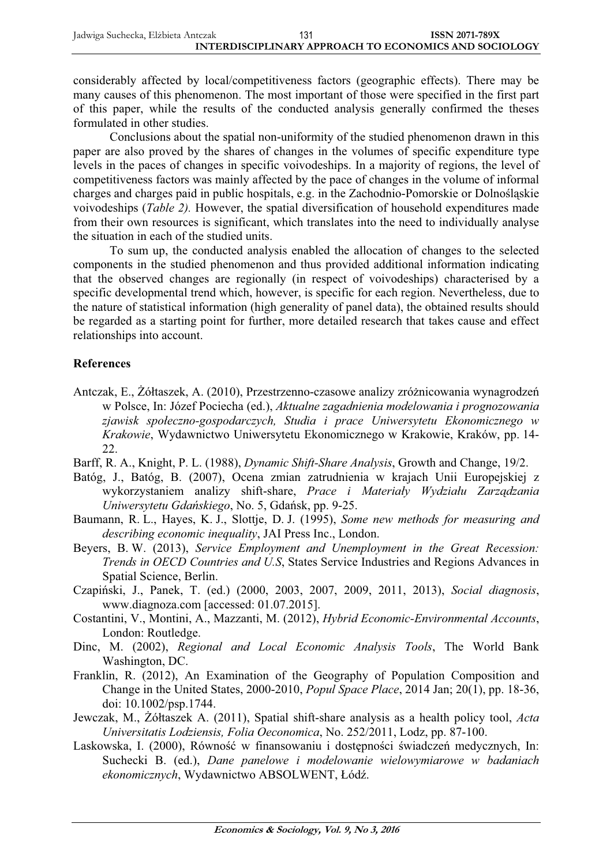considerably affected by local/competitiveness factors (geographic effects). There may be many causes of this phenomenon. The most important of those were specified in the first part of this paper, while the results of the conducted analysis generally confirmed the theses formulated in other studies.

Conclusions about the spatial non-uniformity of the studied phenomenon drawn in this paper are also proved by the shares of changes in the volumes of specific expenditure type levels in the paces of changes in specific voivodeships. In a majority of regions, the level of competitiveness factors was mainly affected by the pace of changes in the volume of informal charges and charges paid in public hospitals, e.g. in the Zachodnio-Pomorskie or Dolnośląskie voivodeships (*Table 2).* However, the spatial diversification of household expenditures made from their own resources is significant, which translates into the need to individually analyse the situation in each of the studied units.

To sum up, the conducted analysis enabled the allocation of changes to the selected components in the studied phenomenon and thus provided additional information indicating that the observed changes are regionally (in respect of voivodeships) characterised by a specific developmental trend which, however, is specific for each region. Nevertheless, due to the nature of statistical information (high generality of panel data), the obtained results should be regarded as a starting point for further, more detailed research that takes cause and effect relationships into account.

## **References**

- Antczak, E., Żółtaszek, A. (2010), Przestrzenno-czasowe analizy zróżnicowania wynagrodzeń w Polsce, In: Józef Pociecha (ed.), *Aktualne zagadnienia modelowania i prognozowania zjawisk spoáeczno-gospodarczych, Studia i prace Uniwersytetu Ekonomicznego w Krakowie*, Wydawnictwo Uniwersytetu Ekonomicznego w Krakowie, Kraków, pp. 14- 22.
- Barff, R. A., Knight, P. L. (1988), *Dynamic Shift-Share Analysis*, Growth and Change, 19/2.
- Batóg, J., Batóg, B. (2007), Ocena zmian zatrudnienia w krajach Unii Europejskiej z wykorzystaniem analizy shift-share, *Prace i Materiaáy Wydziaáu Zarządzania Uniwersytetu Gdańskiego*, No. 5, Gdańsk, pp. 9-25.
- Baumann, R. L., Hayes, K. J., Slottje, D. J. (1995), *Some new methods for measuring and describing economic inequality*, JAI Press Inc., London.
- Beyers, B. W. (2013), *Service Employment and Unemployment in the Great Recession: Trends in OECD Countries and U.S*, States Service Industries and Regions Advances in Spatial Science, Berlin.
- CzapiĔski, J., Panek, T. (ed.) (2000, 2003, 2007, 2009, 2011, 2013), *Social diagnosis*, www.diagnoza.com [accessed: 01.07.2015].
- Costantini, V., Montini, A., Mazzanti, M. (2012), *Hybrid Economic-Environmental Accounts*, London: Routledge.
- Dinc, M. (2002), *Regional and Local Economic Analysis Tools*, The World Bank Washington, DC.
- Franklin, R. (2012), An Examination of the Geography of Population Composition and Change in the United States, 2000-2010, *Popul Space Place*, 2014 Jan; 20(1), pp. 18-36, doi: 10.1002/psp.1744.
- Jewczak, M., ĩóátaszek A. (2011), Spatial shift-share analysis as a health policy tool, *Acta Universitatis Lodziensis, Folia Oeconomica*, No. 252/2011, Lodz, pp. 87-100.
- Laskowska, I. (2000), Równość w finansowaniu i dostępności świadczeń medycznych, In: Suchecki B. (ed.), *Dane panelowe i modelowanie wielowymiarowe w badaniach*  ekonomicznych, Wydawnictwo ABSOLWENT, Łódź.